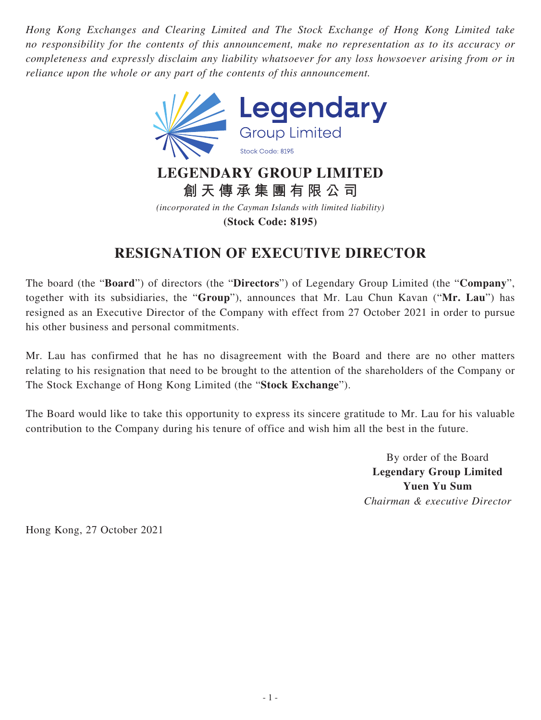*Hong Kong Exchanges and Clearing Limited and The Stock Exchange of Hong Kong Limited take no responsibility for the contents of this announcement, make no representation as to its accuracy or completeness and expressly disclaim any liability whatsoever for any loss howsoever arising from or in reliance upon the whole or any part of the contents of this announcement.*



**創天傳承集團有限公司**

*(incorporated in the Cayman Islands with limited liability)*

**(Stock Code: 8195)**

## **RESIGNATION OF EXECUTIVE DIRECTOR**

The board (the "**Board**") of directors (the "**Directors**") of Legendary Group Limited (the "**Company**", together with its subsidiaries, the "**Group**"), announces that Mr. Lau Chun Kavan ("**Mr. Lau**") has resigned as an Executive Director of the Company with effect from 27 October 2021 in order to pursue his other business and personal commitments.

Mr. Lau has confirmed that he has no disagreement with the Board and there are no other matters relating to his resignation that need to be brought to the attention of the shareholders of the Company or The Stock Exchange of Hong Kong Limited (the "**Stock Exchange**").

The Board would like to take this opportunity to express its sincere gratitude to Mr. Lau for his valuable contribution to the Company during his tenure of office and wish him all the best in the future.

> By order of the Board **Legendary Group Limited Yuen Yu Sum** *Chairman & executive Director*

Hong Kong, 27 October 2021